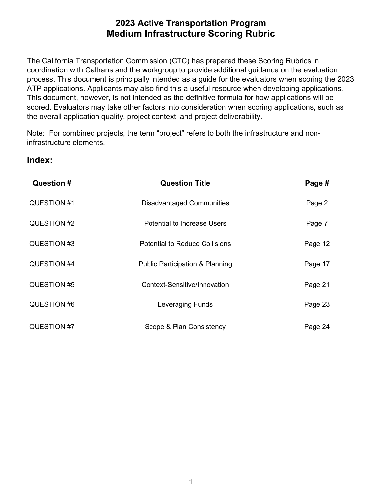coordination with Caltrans and the workgroup to provide additional guidance on the evaluation process. This document is principally intended as a guide for the evaluators when scoring the 2023 the overall application quality, project context, and project deliverability. The California Transportation Commission (CTC) has prepared these Scoring Rubrics in ATP applications. Applicants may also find this a useful resource when developing applications. This document, however, is not intended as the definitive formula for how applications will be scored. Evaluators may take other factors into consideration when scoring applications, such as

Note: For combined projects, the term "project" refers to both the infrastructure and noninfrastructure elements.

### **Index:**

| Question #  | <b>Question Title</b>                      | Page #  |
|-------------|--------------------------------------------|---------|
| QUESTION #1 | <b>Disadvantaged Communities</b>           | Page 2  |
| QUESTION #2 | <b>Potential to Increase Users</b>         | Page 7  |
| QUESTION #3 | <b>Potential to Reduce Collisions</b>      | Page 12 |
| QUESTION #4 | <b>Public Participation &amp; Planning</b> | Page 17 |
| QUESTION #5 | Context-Sensitive/Innovation               | Page 21 |
| QUESTION #6 | Leveraging Funds                           | Page 23 |
| QUESTION #7 | Scope & Plan Consistency                   | Page 24 |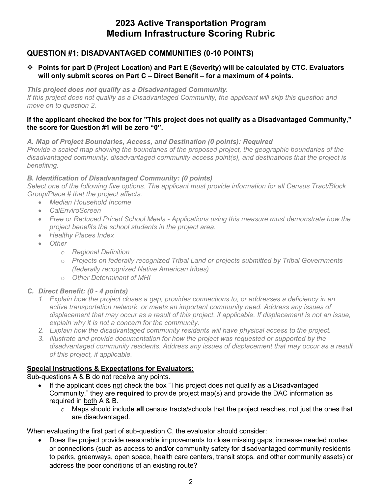### **QUESTION #1: DISADVANTAGED COMMUNITIES (0-10 POINTS)**

#### **Points for part D (Project Location) and Part E (Severity) will be calculated by CTC. Evaluators will only submit scores on Part C – Direct Benefit – for a maximum of 4 points.**

 *If this project does not qualify as a Disadvantaged Community, the applicant will skip this question and This project does not qualify as a Disadvantaged Community. move on to question 2.* 

#### **If the applicant checked the box for "This project does not qualify as a Disadvantaged Community," the score for Question #1 will be zero "0".**

*A. Map of Project Boundaries, Access, and Destination (0 points): Required* 

 *Provide a scaled map showing the boundaries of the proposed project, the geographic boundaries of the disadvantaged community, disadvantaged community access point(s), and destinations that the project is benefiting.* 

#### *B. Identification of Disadvantaged Community: (0 points)*

*Select one of the following five options. The applicant must provide information for all Census Tract/Block Group/Place # that the project affects.* 

- *Median Household Income*
- *CalEnviroScreen*
- *Free or Reduced Priced School Meals - Applications using this measure must demonstrate how the project benefits the school students in the project area.*
- *Healthy Places Index*
- *Other* 
	- o *Regional Definition*
	- o *Projects on federally recognized Tribal Land or projects submitted by Tribal Governments (federally recognized Native American tribes)*
	- o *Other Determinant of MHI*

### *C. Direct Benefit: (0 - 4 points)*

- *1. Explain how the project closes a gap, provides connections to, or addresses a deficiency in an displacement that may occur as a result of this project, if applicable. If displacement is not an issue, active transportation network, or meets an important community need. Address any issues of explain why it is not a concern for the community.*
- *2. Explain how the disadvantaged community residents will have physical access to the project.*
- *of this project, if applicable. 3. Illustrate and provide documentation for how the project was requested or supported by the disadvantaged community residents. Address any issues of displacement that may occur as a result*

### **Special Instructions & Expectations for Evaluators:**

Sub-questions A & B do not receive any points.

- If the applicant does not check the box "This project does not qualify as a Disadvantaged Community," they are **required** to provide project map(s) and provide the DAC information as required in both A & B.
	- o Maps should include **all** census tracts/schools that the project reaches, not just the ones that are disadvantaged.

When evaluating the first part of sub-question C, the evaluator should consider:

• Does the project provide reasonable improvements to close missing gaps; increase needed routes or connections (such as access to and/or community safety for disadvantaged community residents to parks, greenways, open space, health care centers, transit stops, and other community assets) or address the poor conditions of an existing route?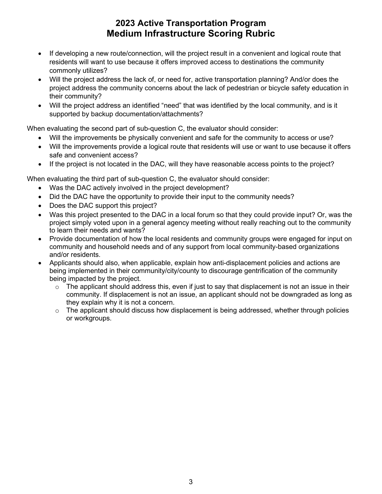- commonly utilizes? • If developing a new route/connection, will the project result in a convenient and logical route that residents will want to use because it offers improved access to destinations the community
- their community? • Will the project address the lack of, or need for, active transportation planning? And/or does the project address the community concerns about the lack of pedestrian or bicycle safety education in
- Will the project address an identified "need" that was identified by the local community, and is it supported by backup documentation/attachments?

When evaluating the second part of sub-question C, the evaluator should consider:

- Will the improvements be physically convenient and safe for the community to access or use?
- • Will the improvements provide a logical route that residents will use or want to use because it offers safe and convenient access?
- If the project is not located in the DAC, will they have reasonable access points to the project?

When evaluating the third part of sub-question C, the evaluator should consider:

- Was the DAC actively involved in the project development?
- Did the DAC have the opportunity to provide their input to the community needs?
- Does the DAC support this project?
- • Was this project presented to the DAC in a local forum so that they could provide input? Or, was the to learn their needs and wants? project simply voted upon in a general agency meeting without really reaching out to the community
- Provide documentation of how the local residents and community groups were engaged for input on community and household needs and of any support from local community-based organizations and/or residents.
- Applicants should also, when applicable, explain how anti-displacement policies and actions are being implemented in their community/city/county to discourage gentrification of the community being impacted by the project.
	- $\circ$  The applicant should address this, even if just to say that displacement is not an issue in their they explain why it is not a concern. community. If displacement is not an issue, an applicant should not be downgraded as long as
	- $\circ$  The applicant should discuss how displacement is being addressed, whether through policies or workgroups.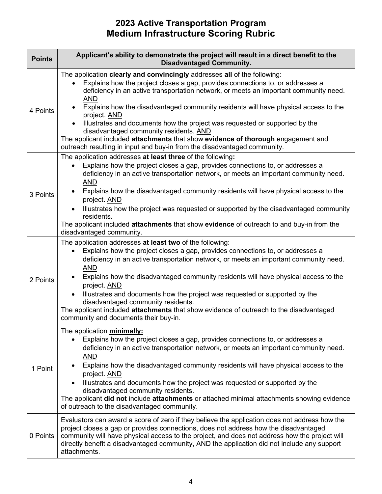| <b>Points</b> | Applicant's ability to demonstrate the project will result in a direct benefit to the<br><b>Disadvantaged Community.</b>                                                                                                                                                                                                                                                                                                                                                                                                                                                                                                                                          |
|---------------|-------------------------------------------------------------------------------------------------------------------------------------------------------------------------------------------------------------------------------------------------------------------------------------------------------------------------------------------------------------------------------------------------------------------------------------------------------------------------------------------------------------------------------------------------------------------------------------------------------------------------------------------------------------------|
| 4 Points      | The application clearly and convincingly addresses all of the following:<br>Explains how the project closes a gap, provides connections to, or addresses a<br>deficiency in an active transportation network, or meets an important community need.<br><b>AND</b><br>Explains how the disadvantaged community residents will have physical access to the<br>project. AND<br>Illustrates and documents how the project was requested or supported by the<br>disadvantaged community residents. AND<br>The applicant included attachments that show evidence of thorough engagement and<br>outreach resulting in input and buy-in from the disadvantaged community. |
| 3 Points      | The application addresses at least three of the following:<br>Explains how the project closes a gap, provides connections to, or addresses a<br>$\bullet$<br>deficiency in an active transportation network, or meets an important community need.<br><b>AND</b><br>Explains how the disadvantaged community residents will have physical access to the<br>project. AND<br>Illustrates how the project was requested or supported by the disadvantaged community<br>$\bullet$<br>residents.<br>The applicant included attachments that show evidence of outreach to and buy-in from the<br>disadvantaged community.                                               |
| 2 Points      | The application addresses at least two of the following:<br>Explains how the project closes a gap, provides connections to, or addresses a<br>$\bullet$<br>deficiency in an active transportation network, or meets an important community need.<br><b>AND</b><br>Explains how the disadvantaged community residents will have physical access to the<br>project. AND<br>Illustrates and documents how the project was requested or supported by the<br>$\bullet$<br>disadvantaged community residents.<br>The applicant included attachments that show evidence of outreach to the disadvantaged<br>community and documents their buy-in.                        |
| 1 Point       | The application minimally:<br>Explains how the project closes a gap, provides connections to, or addresses a<br>deficiency in an active transportation network, or meets an important community need.<br><b>AND</b><br>Explains how the disadvantaged community residents will have physical access to the<br>project. AND<br>Illustrates and documents how the project was requested or supported by the<br>disadvantaged community residents.<br>The applicant <b>did not</b> include <b>attachments</b> or attached minimal attachments showing evidence<br>of outreach to the disadvantaged community.                                                        |
| 0 Points      | Evaluators can award a score of zero if they believe the application does not address how the<br>project closes a gap or provides connections, does not address how the disadvantaged<br>community will have physical access to the project, and does not address how the project will<br>directly benefit a disadvantaged community, AND the application did not include any support<br>attachments.                                                                                                                                                                                                                                                             |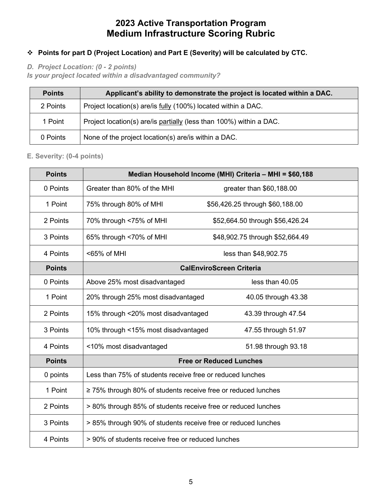### **Points for part D (Project Location) and Part E (Severity) will be calculated by CTC.**

 *D. Project Location: (0 - 2 points)* 

*Is your project located within a disadvantaged community?* 

| <b>Points</b> | Applicant's ability to demonstrate the project is located within a DAC. |
|---------------|-------------------------------------------------------------------------|
| 2 Points      | Project location(s) are/is fully (100%) located within a DAC.           |
| 1 Point       | Project location(s) are/is partially (less than 100%) within a DAC.     |
| 0 Points      | None of the project location(s) are/is within a DAC.                    |

### **E. Severity: (0-4 points)**

| <b>Points</b> |                                                                    | Median Household Income (MHI) Criteria - MHI = \$60,188 |
|---------------|--------------------------------------------------------------------|---------------------------------------------------------|
| 0 Points      | Greater than 80% of the MHI                                        | greater than \$60,188.00                                |
| 1 Point       | 75% through 80% of MHI                                             | \$56,426.25 through \$60,188.00                         |
| 2 Points      | 70% through <75% of MHI                                            | \$52,664.50 through \$56,426.24                         |
| 3 Points      | 65% through <70% of MHI                                            | \$48,902.75 through \$52,664.49                         |
| 4 Points      | <65% of MHI                                                        | less than \$48,902.75                                   |
| <b>Points</b> |                                                                    | <b>CalEnviroScreen Criteria</b>                         |
| 0 Points      | Above 25% most disadvantaged                                       | less than 40.05                                         |
| 1 Point       | 20% through 25% most disadvantaged                                 | 40.05 through 43.38                                     |
| 2 Points      | 15% through <20% most disadvantaged                                | 43.39 through 47.54                                     |
| 3 Points      | 10% through <15% most disadvantaged                                | 47.55 through 51.97                                     |
| 4 Points      | <10% most disadvantaged                                            | 51.98 through 93.18                                     |
| <b>Points</b> |                                                                    | <b>Free or Reduced Lunches</b>                          |
| 0 points      | Less than 75% of students receive free or reduced lunches          |                                                         |
| 1 Point       | $\geq$ 75% through 80% of students receive free or reduced lunches |                                                         |
| 2 Points      | > 80% through 85% of students receive free or reduced lunches      |                                                         |
| 3 Points      | > 85% through 90% of students receive free or reduced lunches      |                                                         |
| 4 Points      | > 90% of students receive free or reduced lunches                  |                                                         |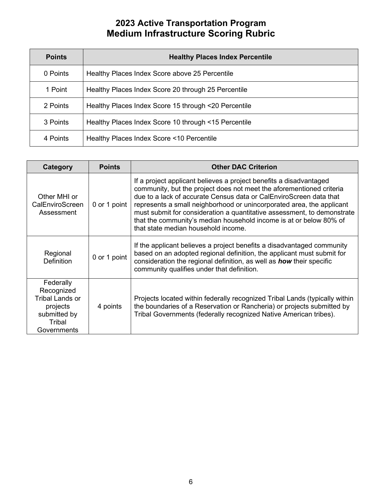| <b>Points</b> | <b>Healthy Places Index Percentile</b>               |
|---------------|------------------------------------------------------|
| 0 Points      | Healthy Places Index Score above 25 Percentile       |
| 1 Point       | Healthy Places Index Score 20 through 25 Percentile  |
| 2 Points      | Healthy Places Index Score 15 through <20 Percentile |
| 3 Points      | Healthy Places Index Score 10 through <15 Percentile |
| 4 Points      | Healthy Places Index Score <10 Percentile            |

| Category                                                                                        | <b>Points</b> | <b>Other DAC Criterion</b>                                                                                                                                                                                                                                                                                                                                                                                                                                                        |
|-------------------------------------------------------------------------------------------------|---------------|-----------------------------------------------------------------------------------------------------------------------------------------------------------------------------------------------------------------------------------------------------------------------------------------------------------------------------------------------------------------------------------------------------------------------------------------------------------------------------------|
| Other MHI or<br>CalEnviroScreen<br>Assessment                                                   | 0 or 1 point  | If a project applicant believes a project benefits a disadvantaged<br>community, but the project does not meet the aforementioned criteria<br>due to a lack of accurate Census data or CalEnviroScreen data that<br>represents a small neighborhood or unincorporated area, the applicant<br>must submit for consideration a quantitative assessment, to demonstrate<br>that the community's median household income is at or below 80% of<br>that state median household income. |
| Regional<br><b>Definition</b>                                                                   | 0 or 1 point  | If the applicant believes a project benefits a disadvantaged community<br>based on an adopted regional definition, the applicant must submit for<br>consideration the regional definition, as well as <b>how</b> their specific<br>community qualifies under that definition.                                                                                                                                                                                                     |
| Federally<br>Recognized<br>Tribal Lands or<br>projects<br>submitted by<br>Tribal<br>Governments | 4 points      | Projects located within federally recognized Tribal Lands (typically within<br>the boundaries of a Reservation or Rancheria) or projects submitted by<br>Tribal Governments (federally recognized Native American tribes).                                                                                                                                                                                                                                                        |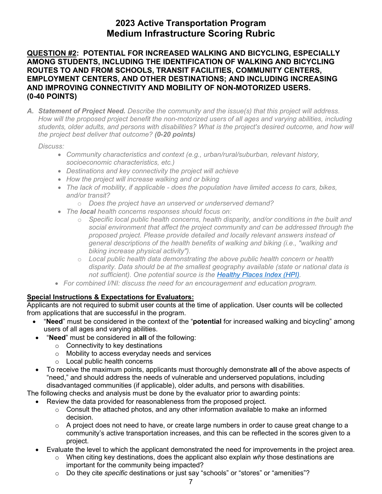### **QUESTION #2: POTENTIAL FOR INCREASED WALKING AND BICYCLING, ESPECIALLY AMONG STUDENTS, INCLUDING THE IDENTIFICATION OF WALKING AND BICYCLING ROUTES TO AND FROM SCHOOLS, TRANSIT FACILITIES, COMMUNITY CENTERS, EMPLOYMENT CENTERS, AND OTHER DESTINATIONS; AND INCLUDING INCREASING AND IMPROVING CONNECTIVITY AND MOBILITY OF NON-MOTORIZED USERS. (0-40 POINTS)**

 *A. Statement of Project Need. Describe the community and the issue(s) that this project will address. the project best deliver that outcome? (0-20 points) How will the proposed project benefit the non-motorized users of all ages and varying abilities, including students, older adults, and persons with disabilities? What is the project's desired outcome, and how will* 

 *Discuss:* 

- *Community characteristics and context (e.g., urban/rural/suburban, relevant history, socioeconomic characteristics, etc.)*
- *Destinations and key connectivity the project will achieve*
- *How the project will increase walking and or biking*
- *The lack of mobility, if applicable does the population have limited access to cars, bikes, and/or transit?* 
	- o *Does the project have an unserved or underserved demand?*
- *The local health concerns responses should focus on:* 
	- *social environment that affect the project community and can be addressed through the biking increase physical activity").*  o *Specific local public health concerns, health disparity, and/or conditions in the built and proposed project. Please provide detailed and locally relevant answers instead of general descriptions of the health benefits of walking and biking (i.e., "walking and*
	- o *Local public health data demonstrating the above public health concern or health disparity. Data should be at the smallest geography available (state or national data is not sufficient). One potential source is the [Healthy Places Index \(HPI\).](http://healthyplacesindex.org/)*
- *For combined I/NI: discuss the need for an encouragement and education program.*

### **Special Instructions & Expectations for Evaluators:**

 from applications that are successful in the program. Applicants are not required to submit user counts at the time of application. User counts will be collected

- "**Need**" must be considered in the context of the "**potential** for increased walking and bicycling" among users of all ages and varying abilities.
- • "**Need**" must be considered in **all** of the following:
	- $\circ$  Connectivity to key destinations
	- o Mobility to access everyday needs and services
	- $\circ$  Local public health concerns
- To receive the maximum points, applicants must thoroughly demonstrate **all** of the above aspects of "need," and should address the needs of vulnerable and underserved populations, including disadvantaged communities (if applicable), older adults, and persons with disabilities.

- • Review the data provided for reasonableness from the proposed project.
	- decision.  $\circ$  Consult the attached photos, and any other information available to make an informed
	- o A project does not need to have, or create large numbers in order to cause great change to a community's active transportation increases, and this can be reflected in the scores given to a project.
- Evaluate the level to which the applicant demonstrated the need for improvements in the project area.
	- o When citing key destinations, does the applicant also explain *why* those destinations are important for the community being impacted?
	- o Do they cite *specific* destinations or just say "schools" or "stores" or "amenities"?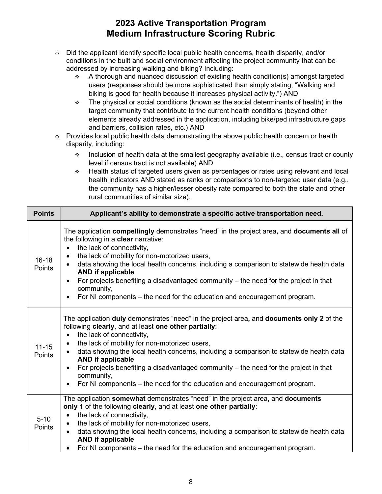- conditions in the built and social environment affecting the project community that can be  $\circ$  Did the applicant identify specific local public health concerns, health disparity, and/or addressed by increasing walking and biking? Including:
	- biking is good for health because it increases physical activity.") AND  $\div$  A thorough and nuanced discussion of existing health condition(s) amongst targeted users (responses should be more sophisticated than simply stating, "Walking and
	- The physical or social conditions (known as the social determinants of health) in the target community that contribute to the current health conditions (beyond other elements already addressed in the application, including bike/ped infrastructure gaps and barriers, collision rates, etc.) AND
- $\circ$  Provides local public health data demonstrating the above public health concern or health disparity, including:
	- \* Inclusion of health data at the smallest geography available (i.e., census tract or county level if census tract is not available) AND
	- rural communities of similar size). Health status of targeted users given as percentages or rates using relevant and local health indicators AND stated as ranks or comparisons to non-targeted user data (e.g., the community has a higher/lesser obesity rate compared to both the state and other

| <b>Points</b>              | Applicant's ability to demonstrate a specific active transportation need.                                                                                                                                                                                                                                                                                                                                                                                                                                                                                                        |
|----------------------------|----------------------------------------------------------------------------------------------------------------------------------------------------------------------------------------------------------------------------------------------------------------------------------------------------------------------------------------------------------------------------------------------------------------------------------------------------------------------------------------------------------------------------------------------------------------------------------|
| $16 - 18$<br><b>Points</b> | The application compellingly demonstrates "need" in the project area, and documents all of<br>the following in a clear narrative:<br>the lack of connectivity,<br>$\bullet$<br>the lack of mobility for non-motorized users,<br>$\bullet$<br>data showing the local health concerns, including a comparison to statewide health data<br><b>AND if applicable</b><br>For projects benefiting a disadvantaged community – the need for the project in that<br>community,<br>For NI components – the need for the education and encouragement program.<br>$\bullet$                 |
| $11 - 15$<br><b>Points</b> | The application duly demonstrates "need" in the project area, and documents only 2 of the<br>following clearly, and at least one other partially:<br>the lack of connectivity,<br>$\bullet$<br>the lack of mobility for non-motorized users,<br>$\bullet$<br>data showing the local health concerns, including a comparison to statewide health data<br><b>AND if applicable</b><br>For projects benefiting a disadvantaged community – the need for the project in that<br>$\bullet$<br>community,<br>For NI components – the need for the education and encouragement program. |
| $5 - 10$<br><b>Points</b>  | The application somewhat demonstrates "need" in the project area, and documents<br>only 1 of the following clearly, and at least one other partially:<br>the lack of connectivity,<br>$\bullet$<br>the lack of mobility for non-motorized users,<br>$\bullet$<br>data showing the local health concerns, including a comparison to statewide health data<br>$\bullet$<br><b>AND if applicable</b><br>For NI components - the need for the education and encouragement program.                                                                                                   |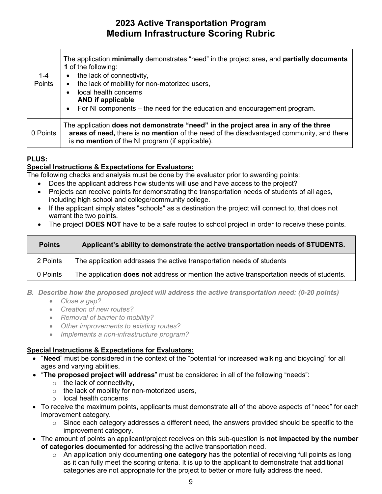| 1-4<br>Points | The application minimally demonstrates "need" in the project area, and partially documents<br>1 of the following:<br>the lack of connectivity,<br>$\bullet$<br>the lack of mobility for non-motorized users,<br>$\bullet$<br>local health concerns<br>$\bullet$<br><b>AND if applicable</b><br>For NI components – the need for the education and encouragement program.<br>$\bullet$ |
|---------------|---------------------------------------------------------------------------------------------------------------------------------------------------------------------------------------------------------------------------------------------------------------------------------------------------------------------------------------------------------------------------------------|
| 0 Points      | The application does not demonstrate "need" in the project area in any of the three<br>areas of need, there is no mention of the need of the disadvantaged community, and there<br>is <b>no mention</b> of the NI program (if applicable).                                                                                                                                            |

### **PLUS:**

### **Special Instructions & Expectations for Evaluators:**

The following checks and analysis must be done by the evaluator prior to awarding points:

- Does the applicant address how students will use and have access to the project?
- Projects can receive points for demonstrating the transportation needs of students of all ages, including high school and college/community college.
- • If the applicant simply states "schools" as a destination the project will connect to, that does not warrant the two points.
- The project **DOES NOT** have to be a safe routes to school project in order to receive these points.

| <b>Points</b> | Applicant's ability to demonstrate the active transportation needs of STUDENTS.                 |
|---------------|-------------------------------------------------------------------------------------------------|
| 2 Points      | The application addresses the active transportation needs of students                           |
| 0 Points      | The application <b>does not</b> address or mention the active transportation needs of students. |

- *B. Describe how the proposed project will address the active transportation need: (0-20 points)* 
	- *Close a gap?*
	- *Creation of new routes?*
	- *Removal of barrier to mobility?*
	- *Other improvements to existing routes?*
	- *Implements a non-infrastructure program?*

### **Special Instructions & Expectations for Evaluators:**

- "**Need**" must be considered in the context of the "potential for increased walking and bicycling" for all ages and varying abilities.
- "**The proposed project will address**" must be considered in all of the following "needs":
	- $\circ$  the lack of connectivity,
	- $\circ$  the lack of mobility for non-motorized users,
	- o local health concerns
- • To receive the maximum points, applicants must demonstrate **all** of the above aspects of "need" for each improvement category.
	- $\circ$  Since each category addresses a different need, the answers provided should be specific to the improvement category.
- The amount of points an applicant/project receives on this sub-question is **not impacted by the number of categories documented** for addressing the active transportation need.
	- categories are not appropriate for the project to better or more fully address the need. o An application only documenting **one category** has the potential of receiving full points as long as it can fully meet the scoring criteria. It is up to the applicant to demonstrate that additional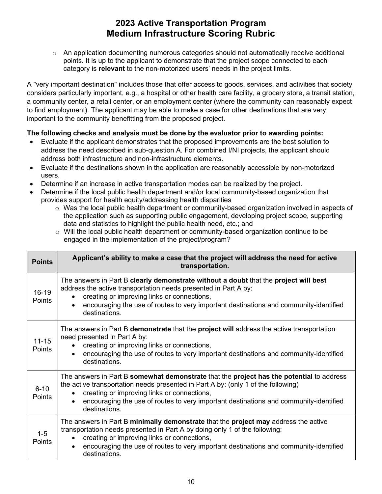$\circ$  An application documenting numerous categories should not automatically receive additional points. It is up to the applicant to demonstrate that the project scope connected to each category is **relevant** to the non-motorized users' needs in the project limits.

 considers particularly important, e.g., a hospital or other health care facility, a grocery store, a transit station, a community center, a retail center, or an employment center (where the community can reasonably expect A "very important destination" includes those that offer access to goods, services, and activities that society to find employment). The applicant may be able to make a case for other destinations that are very important to the community benefitting from the proposed project.

- • Evaluate if the applicant demonstrates that the proposed improvements are the best solution to address the need described in sub-question A. For combined I/NI projects, the applicant should address both infrastructure and non-infrastructure elements.
- Evaluate if the destinations shown in the application are reasonably accessible by non-motorized users.
- Determine if an increase in active transportation modes can be realized by the project.
- Determine if the local public health department and/or local community-based organization that provides support for health equity/addressing health disparities
	- $\circ$  Was the local public health department or community-based organization involved in aspects of data and statistics to highlight the public health need, etc.; and the application such as supporting public engagement, developing project scope, supporting
	- $\circ$  Will the local public health department or community-based organization continue to be engaged in the implementation of the project/program?

| <b>Points</b>              | Applicant's ability to make a case that the project will address the need for active<br>transportation.                                                                                                                                                                                                                                              |
|----------------------------|------------------------------------------------------------------------------------------------------------------------------------------------------------------------------------------------------------------------------------------------------------------------------------------------------------------------------------------------------|
| $16 - 19$<br><b>Points</b> | The answers in Part B clearly demonstrate without a doubt that the project will best<br>address the active transportation needs presented in Part A by:<br>creating or improving links or connections,<br>$\bullet$<br>encouraging the use of routes to very important destinations and community-identified<br>$\bullet$<br>destinations.           |
| $11 - 15$<br><b>Points</b> | The answers in Part B <b>demonstrate</b> that the <b>project will</b> address the active transportation<br>need presented in Part A by:<br>creating or improving links or connections,<br>encouraging the use of routes to very important destinations and community-identified<br>destinations.                                                     |
| $6 - 10$<br>Points         | The answers in Part B <b>somewhat demonstrate</b> that the <b>project has the potential</b> to address<br>the active transportation needs presented in Part A by: (only 1 of the following)<br>creating or improving links or connections,<br>encouraging the use of routes to very important destinations and community-identified<br>destinations. |
| $1 - 5$<br>Points          | The answers in Part B minimally demonstrate that the project may address the active<br>transportation needs presented in Part A by doing only 1 of the following:<br>creating or improving links or connections,<br>$\bullet$<br>encouraging the use of routes to very important destinations and community-identified<br>$\bullet$<br>destinations. |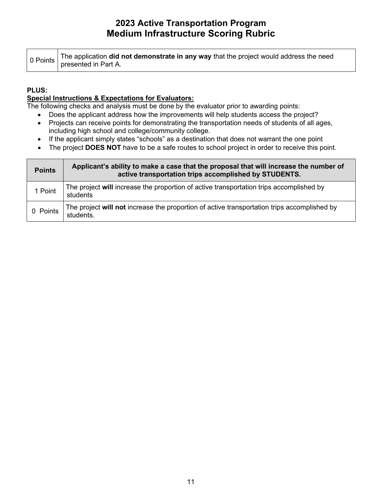|  | $\Big $ 0 Points The application <b>did not demonstrate in any way</b> that the project would address the need presented in Part A. |
|--|-------------------------------------------------------------------------------------------------------------------------------------|
|  |                                                                                                                                     |

### **PLUS:**

### **Special Instructions & Expectations for Evaluators:**

- Does the applicant address how the improvements will help students access the project?
- Projects can receive points for demonstrating the transportation needs of students of all ages, including high school and college/community college.
- If the applicant simply states "schools" as a destination that does not warrant the one point
- The project **DOES NOT** have to be a safe routes to school project in order to receive this point.

| <b>Points</b> | Applicant's ability to make a case that the proposal that will increase the number of<br>active transportation trips accomplished by STUDENTS. |
|---------------|------------------------------------------------------------------------------------------------------------------------------------------------|
| 1 Point       | The project will increase the proportion of active transportation trips accomplished by<br>students                                            |
| 0 Points      | The project will not increase the proportion of active transportation trips accomplished by<br>students.                                       |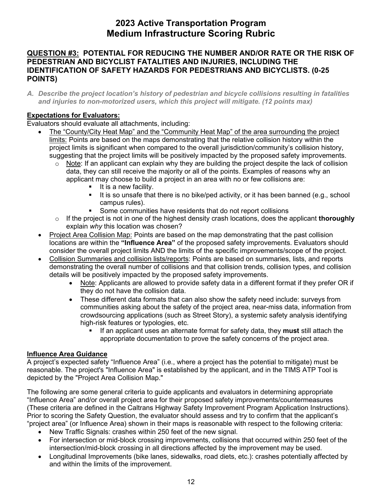### **QUESTION #3: POTENTIAL FOR REDUCING THE NUMBER AND/OR RATE OR THE RISK OF PEDESTRIAN AND BICYCLIST FATALITIES AND INJURIES, INCLUDING THE IDENTIFICATION OF SAFETY HAZARDS FOR PEDESTRIANS AND BICYCLISTS. (0-25 POINTS)**

 *A. Describe the project location's history of pedestrian and bicycle collisions resulting in fatalities and injuries to non-motorized users, which this project will mitigate. (12 points max)* 

### **Expectations for Evaluators:**

Evaluators should evaluate all attachments, including:

- The "County/City Heat Map" and the "Community Heat Map" of the area surrounding the project project limits is significant when compared to the overall jurisdiction/community's collision history, limits: Points are based on the maps demonstrating that the relative collision history within the suggesting that the project limits will be positively impacted by the proposed safety improvements.
	- data, they can still receive the majority or all of the points. Examples of reasons why an applicant may choose to build a project in an area with no or few collisions are:  $\circ$  Note: If an applicant can explain why they are building the project despite the lack of collision
		- $\blacksquare$  It is a new facility.
		- It is so unsafe that there is no bike/ped activity, or it has been banned (e.g., school campus rules).
		- **Some communities have residents that do not report collisions**
	- o If the project is not in one of the highest density crash locations, does the applicant **thoroughly**  explain *why* this location was chosen?
- Project Area Collision Map: Points are based on the map demonstrating that the past collision consider the overall project limits AND the limits of the specific improvements/scope of the project. locations are within the **"Influence Area"** of the proposed safety improvements. Evaluators should
- Collision Summaries and collision lists/reports: Points are based on summaries, lists, and reports demonstrating the overall number of collisions and that collision trends, collision types, and collision details will be positively impacted by the proposed safety improvements.
	- Note: Applicants are allowed to provide safety data in a different format if they prefer OR if they do not have the collision data.
	- • These different data formats that can also show the safety need include: surveys from communities asking about the safety of the project area, near-miss data, information from crowdsourcing applications (such as Street Story), a systemic safety analysis identifying high-risk features or typologies, etc.
		- If an applicant uses an alternate format for safety data, they **must** still attach the appropriate documentation to prove the safety concerns of the project area.

### **Influence Area Guidance**

 A project's expected safety "Influence Area" (i.e., where a project has the potential to mitigate) must be reasonable. The project's "Influence Area" is established by the applicant, and in the TIMS ATP Tool is depicted by the "Project Area Collision Map."

The following are some general criteria to guide applicants and evaluators in determining appropriate "Influence Area" and/or overall project area for their proposed safety improvements/countermeasures (These criteria are defined in the Caltrans Highway Safety Improvement Program Application Instructions). Prior to scoring the Safety Question, the evaluator should assess and try to confirm that the applicant's "project area" (or Influence Area) shown in their maps is reasonable with respect to the following criteria:

- New Traffic Signals: crashes within 250 feet of the new signal.
- intersection/mid-block crossing in all directions affected by the improvement may be used. • For intersection or mid-block crossing improvements, collisions that occurred within 250 feet of the
- • Longitudinal Improvements (bike lanes, sidewalks, road diets, etc.): crashes potentially affected by and within the limits of the improvement.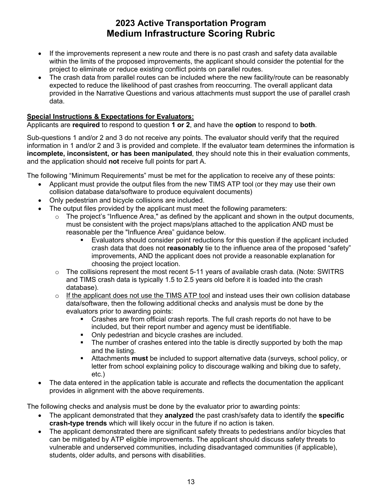- project to eliminate or reduce existing conflict points on parallel routes. • If the improvements represent a new route and there is no past crash and safety data available within the limits of the proposed improvements, the applicant should consider the potential for the
- expected to reduce the likelihood of past crashes from reoccurring. The overall applicant data provided in the Narrative Questions and various attachments must support the use of parallel crash • The crash data from parallel routes can be included where the new facility/route can be reasonably data.

### **Special Instructions & Expectations for Evaluators:**

Applicants are **required** to respond to question **1 or 2**, and have the **option** to respond to **both**.

 **incomplete, inconsistent, or has been manipulated**, they should note this in their evaluation comments, and the application should **not** receive full points for part A. Sub-questions 1 and/or 2 and 3 do not receive any points. The evaluator should verify that the required information in 1 and/or 2 and 3 is provided and complete. If the evaluator team determines the information is

The following "Minimum Requirements" must be met for the application to receive any of these points:

- Applicant must provide the output files from the new TIMS ATP tool (or they may use their own collision database data/software to produce equivalent documents)
- Only pedestrian and bicycle collisions are included.
- • The output files provided by the applicant must meet the following parameters:
	- reasonable per the "Influence Area" guidance below. o The project's "Influence Area," as defined by the applicant and shown in the output documents, must be consistent with the project maps/plans attached to the application AND must be
		- Evaluators should consider point reductions for this question if the applicant included crash data that does not **reasonably** tie to the influence area of the proposed "safety" improvements, AND the applicant does not provide a reasonable explanation for choosing the project location.
	- $\circ$  The collisions represent the most recent 5-11 years of available crash data. (Note: SWITRS and TIMS crash data is typically 1.5 to 2.5 years old before it is loaded into the crash database).
	- $\circ$  If the applicant does not use the TIMS ATP tool and instead uses their own collision database data/software, then the following additional checks and analysis must be done by the evaluators prior to awarding points:
		- Crashes are from official crash reports. The full crash reports do not have to be included, but their report number and agency must be identifiable.
		- Only pedestrian and bicycle crashes are included.
		- **The number of crashes entered into the table is directly supported by both the map** and the listing.
		- Attachments **must** be included to support alternative data (surveys, school policy, or letter from school explaining policy to discourage walking and biking due to safety, etc.)
- The data entered in the application table is accurate and reflects the documentation the applicant provides in alignment with the above requirements.

- The applicant demonstrated that they **analyzed** the past crash/safety data to identify the **specific crash-type trends** which will likely occur in the future if no action is taken.
- The applicant demonstrated there are significant safety threats to pedestrians and/or bicycles that can be mitigated by ATP eligible improvements. The applicant should discuss safety threats to vulnerable and underserved communities, including disadvantaged communities (if applicable), students, older adults, and persons with disabilities.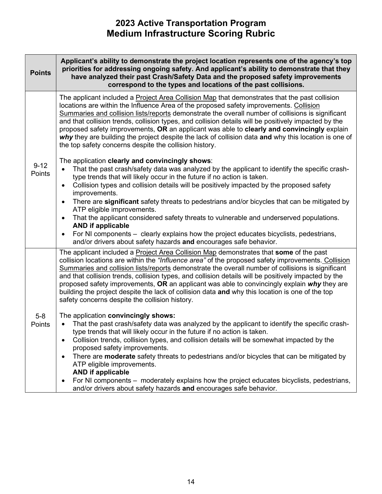| <b>Points</b>      | Applicant's ability to demonstrate the project location represents one of the agency's top<br>priorities for addressing ongoing safety. And applicant's ability to demonstrate that they<br>have analyzed their past Crash/Safety Data and the proposed safety improvements<br>correspond to the types and locations of the past collisions.                                                                                                                                                                                                                                                                                                                                |
|--------------------|-----------------------------------------------------------------------------------------------------------------------------------------------------------------------------------------------------------------------------------------------------------------------------------------------------------------------------------------------------------------------------------------------------------------------------------------------------------------------------------------------------------------------------------------------------------------------------------------------------------------------------------------------------------------------------|
| $9 - 12$<br>Points | The applicant included a <b>Project Area Collision Map</b> that demonstrates that the past collision<br>locations are within the Influence Area of the proposed safety improvements. Collision<br>Summaries and collision lists/reports demonstrate the overall number of collisions is significant<br>and that collision trends, collision types, and collision details will be positively impacted by the<br>proposed safety improvements, OR an applicant was able to clearly and convincingly explain<br>why they are building the project despite the lack of collision data and why this location is one of<br>the top safety concerns despite the collision history. |
|                    | The application clearly and convincingly shows:<br>That the past crash/safety data was analyzed by the applicant to identify the specific crash-<br>$\bullet$<br>type trends that will likely occur in the future if no action is taken.<br>Collision types and collision details will be positively impacted by the proposed safety<br>$\bullet$<br>improvements.                                                                                                                                                                                                                                                                                                          |
|                    | There are significant safety threats to pedestrians and/or bicycles that can be mitigated by<br>$\bullet$<br>ATP eligible improvements.<br>That the applicant considered safety threats to vulnerable and underserved populations.<br>$\bullet$<br><b>AND if applicable</b><br>For NI components – clearly explains how the project educates bicyclists, pedestrians,<br>$\bullet$                                                                                                                                                                                                                                                                                          |
|                    | and/or drivers about safety hazards and encourages safe behavior.                                                                                                                                                                                                                                                                                                                                                                                                                                                                                                                                                                                                           |
| $5-8$<br>Points    | The applicant included a Project Area Collision Map demonstrates that some of the past<br>collision locations are within the "Influence area" of the proposed safety improvements. Collision<br>Summaries and collision lists/reports demonstrate the overall number of collisions is significant<br>and that collision trends, collision types, and collision details will be positively impacted by the<br>proposed safety improvements, OR an applicant was able to convincingly explain why they are<br>building the project despite the lack of collision data and why this location is one of the top<br>safety concerns despite the collision history.               |
|                    | The application convincingly shows:<br>That the past crash/safety data was analyzed by the applicant to identify the specific crash-<br>type trends that will likely occur in the future if no action is taken.<br>Collision trends, collision types, and collision details will be somewhat impacted by the<br>$\bullet$<br>proposed safety improvements.                                                                                                                                                                                                                                                                                                                  |
|                    | There are <b>moderate</b> safety threats to pedestrians and/or bicycles that can be mitigated by<br>$\bullet$<br>ATP eligible improvements.<br><b>AND if applicable</b>                                                                                                                                                                                                                                                                                                                                                                                                                                                                                                     |
|                    | For NI components – moderately explains how the project educates bicyclists, pedestrians,<br>$\bullet$<br>and/or drivers about safety hazards and encourages safe behavior.                                                                                                                                                                                                                                                                                                                                                                                                                                                                                                 |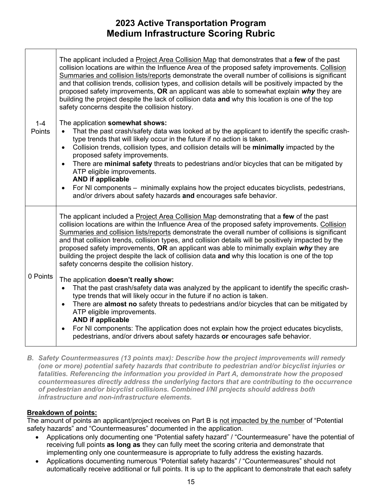| $1 - 4$<br>Points | The applicant included a Project Area Collision Map that demonstrates that a few of the past<br>collision locations are within the Influence Area of the proposed safety improvements. Collision<br>Summaries and collision lists/reports demonstrate the overall number of collisions is significant<br>and that collision trends, collision types, and collision details will be positively impacted by the<br>proposed safety improvements, OR an applicant was able to somewhat explain why they are<br>building the project despite the lack of collision data and why this location is one of the top<br>safety concerns despite the collision history.<br>The application somewhat shows:<br>That the past crash/safety data was looked at by the applicant to identify the specific crash-<br>$\bullet$<br>type trends that will likely occur in the future if no action is taken.<br>Collision trends, collision types, and collision details will be minimally impacted by the<br>$\bullet$<br>proposed safety improvements.<br>There are minimal safety threats to pedestrians and/or bicycles that can be mitigated by<br>$\bullet$<br>ATP eligible improvements.<br><b>AND if applicable</b> |
|-------------------|-----------------------------------------------------------------------------------------------------------------------------------------------------------------------------------------------------------------------------------------------------------------------------------------------------------------------------------------------------------------------------------------------------------------------------------------------------------------------------------------------------------------------------------------------------------------------------------------------------------------------------------------------------------------------------------------------------------------------------------------------------------------------------------------------------------------------------------------------------------------------------------------------------------------------------------------------------------------------------------------------------------------------------------------------------------------------------------------------------------------------------------------------------------------------------------------------------------|
|                   | For NI components – minimally explains how the project educates bicyclists, pedestrians,<br>$\bullet$<br>and/or drivers about safety hazards and encourages safe behavior.                                                                                                                                                                                                                                                                                                                                                                                                                                                                                                                                                                                                                                                                                                                                                                                                                                                                                                                                                                                                                                |
| 0 Points          | The applicant included a Project Area Collision Map demonstrating that a few of the past<br>collision locations are within the Influence Area of the proposed safety improvements. Collision<br>Summaries and collision lists/reports demonstrate the overall number of collisions is significant<br>and that collision trends, collision types, and collision details will be positively impacted by the<br>proposed safety improvements, OR an applicant was able to minimally explain why they are<br>building the project despite the lack of collision data and why this location is one of the top<br>safety concerns despite the collision history.                                                                                                                                                                                                                                                                                                                                                                                                                                                                                                                                                |
|                   | The application doesn't really show:<br>That the past crash/safety data was analyzed by the applicant to identify the specific crash-<br>$\bullet$<br>type trends that will likely occur in the future if no action is taken.<br>There are almost no safety threats to pedestrians and/or bicycles that can be mitigated by<br>$\bullet$<br>ATP eligible improvements.<br><b>AND if applicable</b><br>For NI components: The application does not explain how the project educates bicyclists,<br>$\bullet$                                                                                                                                                                                                                                                                                                                                                                                                                                                                                                                                                                                                                                                                                               |
|                   | pedestrians, and/or drivers about safety hazards or encourages safe behavior.                                                                                                                                                                                                                                                                                                                                                                                                                                                                                                                                                                                                                                                                                                                                                                                                                                                                                                                                                                                                                                                                                                                             |

*B. Safety Countermeasures (13 points max): Describe how the project improvements will remedy (one or more) potential safety hazards that contribute to pedestrian and/or bicyclist injuries or fatalities. Referencing the information you provided in Part A, demonstrate how the proposed countermeasures directly address the underlying factors that are contributing to the occurrence of pedestrian and/or bicyclist collisions. Combined I/NI projects should address both infrastructure and non-infrastructure elements.* 

### **Breakdown of points:**

The amount of points an applicant/project receives on Part B is not impacted by the number of "Potential safety hazards" and "Countermeasures" documented in the application.

- Applications only documenting one "Potential safety hazard" / "Countermeasure" have the potential of receiving full points **as long as** they can fully meet the scoring criteria and demonstrate that implementing only one countermeasure is appropriate to fully address the existing hazards.
- • Applications documenting numerous "Potential safety hazards" / "Countermeasures" should not automatically receive additional or full points. It is up to the applicant to demonstrate that each safety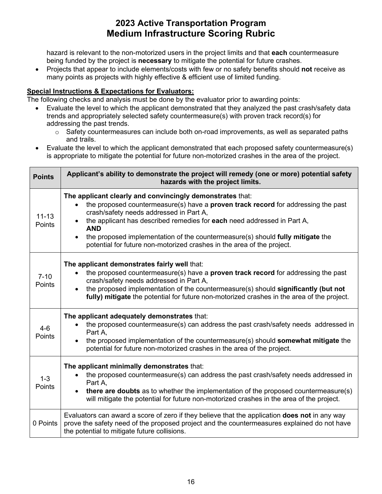being funded by the project is **necessary** to mitigate the potential for future crashes. hazard is relevant to the non-motorized users in the project limits and that **each** countermeasure

• Projects that appear to include elements/costs with few or no safety benefits should **not** receive as many points as projects with highly effective & efficient use of limited funding.

### **Special Instructions & Expectations for Evaluators:**

- Evaluate the level to which the applicant demonstrated that they analyzed the past crash/safety data trends and appropriately selected safety countermeasure(s) with proven track record(s) for addressing the past trends.
	- $\circ$  Safety countermeasures can include both on-road improvements, as well as separated paths and trails.
- is appropriate to mitigate the potential for future non-motorized crashes in the area of the project. • Evaluate the level to which the applicant demonstrated that each proposed safety countermeasure(s)

| <b>Points</b>       | Applicant's ability to demonstrate the project will remedy (one or more) potential safety<br>hazards with the project limits.                                                                                                                                                                                                                                                                                                                                                   |
|---------------------|---------------------------------------------------------------------------------------------------------------------------------------------------------------------------------------------------------------------------------------------------------------------------------------------------------------------------------------------------------------------------------------------------------------------------------------------------------------------------------|
| $11 - 13$<br>Points | The applicant clearly and convincingly demonstrates that:<br>the proposed countermeasure(s) have a <b>proven track record</b> for addressing the past<br>$\bullet$<br>crash/safety needs addressed in Part A,<br>the applicant has described remedies for each need addressed in Part A,<br><b>AND</b><br>the proposed implementation of the countermeasure(s) should fully mitigate the<br>$\bullet$<br>potential for future non-motorized crashes in the area of the project. |
| $7 - 10$<br>Points  | The applicant demonstrates fairly well that:<br>the proposed countermeasure(s) have a <b>proven track record</b> for addressing the past<br>crash/safety needs addressed in Part A,<br>the proposed implementation of the countermeasure(s) should significantly (but not<br>$\bullet$<br>fully) mitigate the potential for future non-motorized crashes in the area of the project.                                                                                            |
| $4 - 6$<br>Points   | The applicant adequately demonstrates that:<br>the proposed countermeasure(s) can address the past crash/safety needs addressed in<br>$\bullet$<br>Part A,<br>the proposed implementation of the countermeasure(s) should somewhat mitigate the<br>potential for future non-motorized crashes in the area of the project.                                                                                                                                                       |
| $1 - 3$<br>Points   | The applicant minimally demonstrates that:<br>the proposed countermeasure(s) can address the past crash/safety needs addressed in<br>$\bullet$<br>Part A,<br>there are doubts as to whether the implementation of the proposed countermeasure(s)<br>$\bullet$<br>will mitigate the potential for future non-motorized crashes in the area of the project.                                                                                                                       |
| 0 Points            | Evaluators can award a score of zero if they believe that the application <b>does not</b> in any way<br>prove the safety need of the proposed project and the countermeasures explained do not have<br>the potential to mitigate future collisions.                                                                                                                                                                                                                             |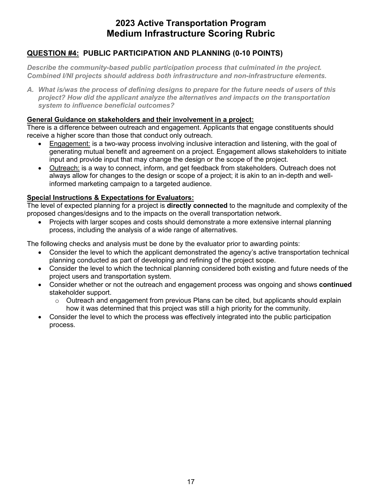### **QUESTION #4: PUBLIC PARTICIPATION AND PLANNING (0-10 POINTS)**

*Describe the community-based public participation process that culminated in the project. Combined I/NI projects should address both infrastructure and non-infrastructure elements.* 

*A. What is/was the process of defining designs to prepare for the future needs of users of this project? How did the applicant analyze the alternatives and impacts on the transportation system to influence beneficial outcomes?* 

#### **General Guidance on stakeholders and their involvement in a project:**

There is a difference between outreach and engagement. Applicants that engage constituents should receive a higher score than those that conduct only outreach.

- input and provide input that may change the design or the scope of the project. • Engagement: is a two-way process involving inclusive interaction and listening, with the goal of generating mutual benefit and agreement on a project. Engagement allows stakeholders to initiate
- Outreach: is a way to connect, inform, and get feedback from stakeholders. Outreach does not always allow for changes to the design or scope of a project; it is akin to an in-depth and wellinformed marketing campaign to a targeted audience.

### **Special Instructions & Expectations for Evaluators:**

 The level of expected planning for a project is **directly connected** to the magnitude and complexity of the proposed changes/designs and to the impacts on the overall transportation network.

• Projects with larger scopes and costs should demonstrate a more extensive internal planning process, including the analysis of a wide range of alternatives.

- Consider the level to which the applicant demonstrated the agency's active transportation technical planning conducted as part of developing and refining of the project scope.
- Consider the level to which the technical planning considered both existing and future needs of the project users and transportation system.
- Consider whether or not the outreach and engagement process was ongoing and shows **continued**  stakeholder support.
	- $\circ$  Outreach and engagement from previous Plans can be cited, but applicants should explain how it was determined that this project was still a high priority for the community.
- Consider the level to which the process was effectively integrated into the public participation process.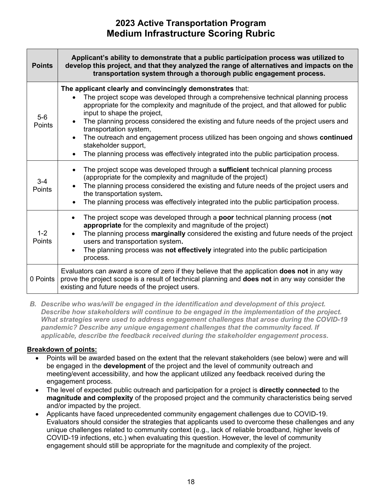| <b>Points</b>     | Applicant's ability to demonstrate that a public participation process was utilized to<br>develop this project, and that they analyzed the range of alternatives and impacts on the<br>transportation system through a thorough public engagement process.                                                                                                                                                                                                                                                                                                                                                                                   |
|-------------------|----------------------------------------------------------------------------------------------------------------------------------------------------------------------------------------------------------------------------------------------------------------------------------------------------------------------------------------------------------------------------------------------------------------------------------------------------------------------------------------------------------------------------------------------------------------------------------------------------------------------------------------------|
| $5-6$<br>Points   | The applicant clearly and convincingly demonstrates that:<br>The project scope was developed through a comprehensive technical planning process<br>$\bullet$<br>appropriate for the complexity and magnitude of the project, and that allowed for public<br>input to shape the project,<br>The planning process considered the existing and future needs of the project users and<br>transportation system,<br>The outreach and engagement process utilized has been ongoing and shows continued<br>$\bullet$<br>stakeholder support,<br>The planning process was effectively integrated into the public participation process.<br>$\bullet$ |
| $3 - 4$<br>Points | The project scope was developed through a <b>sufficient</b> technical planning process<br>$\bullet$<br>(appropriate for the complexity and magnitude of the project)<br>The planning process considered the existing and future needs of the project users and<br>the transportation system.<br>The planning process was effectively integrated into the public participation process.                                                                                                                                                                                                                                                       |
| $1 - 2$<br>Points | The project scope was developed through a poor technical planning process (not<br>$\bullet$<br>appropriate for the complexity and magnitude of the project)<br>The planning process marginally considered the existing and future needs of the project<br>$\bullet$<br>users and transportation system.<br>The planning process was not effectively integrated into the public participation<br>$\bullet$<br>process.                                                                                                                                                                                                                        |
| 0 Points          | Evaluators can award a score of zero if they believe that the application <b>does not</b> in any way<br>prove the project scope is a result of technical planning and does not in any way consider the<br>existing and future needs of the project users.                                                                                                                                                                                                                                                                                                                                                                                    |

 *What strategies were used to address engagement challenges that arose during the COVID-19 B. Describe who was/will be engaged in the identification and development of this project. Describe how stakeholders will continue to be engaged in the implementation of the project. pandemic? Describe any unique engagement challenges that the community faced. If applicable, describe the feedback received during the stakeholder engagement process.* 

### **Breakdown of points:**

- Points will be awarded based on the extent that the relevant stakeholders (see below) were and will be engaged in the **development** of the project and the level of community outreach and meeting/event accessibility, and how the applicant utilized any feedback received during the engagement process.
- and/or impacted by the project. • The level of expected public outreach and participation for a project is **directly connected** to the **magnitude and complexity** of the proposed project and the community characteristics being served
- COVID-19 infections, etc.) when evaluating this question. However, the level of community engagement should still be appropriate for the magnitude and complexity of the project. • Applicants have faced unprecedented community engagement challenges due to COVID-19. Evaluators should consider the strategies that applicants used to overcome these challenges and any unique challenges related to community context (e.g., lack of reliable broadband, higher levels of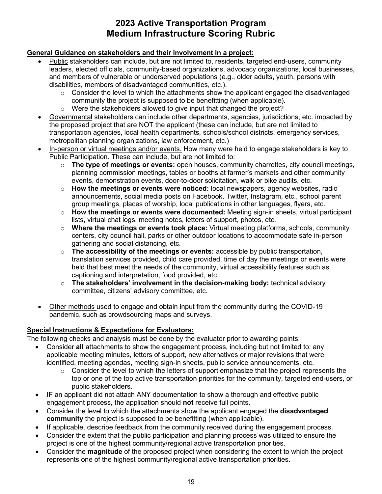### **General Guidance on stakeholders and their involvement in a project:**

- $\bullet$ • Public stakeholders can include, but are not limited to, residents, targeted end-users, community leaders, elected officials, community-based organizations, advocacy organizations, local businesses, and members of vulnerable or underserved populations (e.g., older adults, youth, persons with disabilities, members of disadvantaged communities, etc.).
	- o Consider the level to which the attachments show the applicant engaged the disadvantaged community the project is supposed to be benefitting (when applicable).
	- o Were the stakeholders allowed to give input that changed the project?
- • Governmental stakeholders can include other departments, agencies, jurisdictions, etc. impacted by the proposed project that are NOT the applicant (these can include, but are not limited to transportation agencies, local health departments, schools/school districts, emergency services, metropolitan planning organizations, law enforcement, etc.)
- In-person or virtual meetings and/or events. How many were held to engage stakeholders is key to Public Participation. These can include, but are not limited to:
	- o **The type of meetings or events:** open houses, community charrettes, city council meetings, planning commission meetings, tables or booths at farmer's markets and other community events, demonstration events, door-to-door solicitation, walk or bike audits, etc.
	- group meetings, places of worship, local publications in other languages, flyers, etc. o **How the meetings or events were noticed:** local newspapers, agency websites, radio announcements, social media posts on Facebook, Twitter, Instagram, etc., school parent
	- o **How the meetings or events were documented:** Meeting sign-in sheets, virtual participant lists, virtual chat logs, meeting notes, letters of support, photos, etc.
	- gathering and social distancing, etc. o **Where the meetings or events took place:** Virtual meeting platforms, schools, community centers, city council hall, parks or other outdoor locations to accommodate safe in-person
	- captioning and interpretation, food provided, etc. o **The accessibility of the meetings or events:** accessible by public transportation, translation services provided, child care provided, time of day the meetings or events were held that best meet the needs of the community, virtual accessibility features such as
	- committee, citizens' advisory committee, etc. o **The stakeholders' involvement in the decision-making body:** technical advisory
- Other methods used to engage and obtain input from the community during the COVID-19 pandemic, such as crowdsourcing maps and surveys.

### **Special Instructions & Expectations for Evaluators:**

- • Consider **all** attachments to show the engagement process, including but not limited to: any applicable meeting minutes, letters of support, new alternatives or major revisions that were identified, meeting agendas, meeting sign-in sheets, public service announcements, etc.
	- $\circ$  Consider the level to which the letters of support emphasize that the project represents the top or one of the top active transportation priorities for the community, targeted end-users, or public stakeholders.
- IF an applicant did not attach ANY documentation to show a thorough and effective public engagement process, the application should **not** receive full points.
- Consider the level to which the attachments show the applicant engaged the **disadvantaged community** the project is supposed to be benefitting (when applicable).
- If applicable, describe feedback from the community received during the engagement process.
- Consider the extent that the public participation and planning process was utilized to ensure the project is one of the highest community/regional active transportation priorities.
- Consider the **magnitude** of the proposed project when considering the extent to which the project represents one of the highest community/regional active transportation priorities.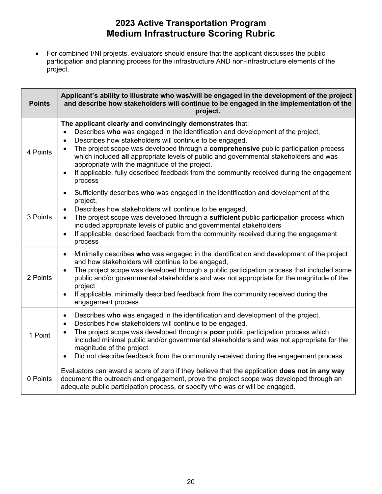• For combined I/NI projects, evaluators should ensure that the applicant discusses the public participation and planning process for the infrastructure AND non-infrastructure elements of the project.

| <b>Points</b> | Applicant's ability to illustrate who was/will be engaged in the development of the project<br>and describe how stakeholders will continue to be engaged in the implementation of the<br>project.                                                                                                                                                                                                                                                                                                                                                                                         |
|---------------|-------------------------------------------------------------------------------------------------------------------------------------------------------------------------------------------------------------------------------------------------------------------------------------------------------------------------------------------------------------------------------------------------------------------------------------------------------------------------------------------------------------------------------------------------------------------------------------------|
| 4 Points      | The applicant clearly and convincingly demonstrates that:<br>Describes who was engaged in the identification and development of the project,<br>Describes how stakeholders will continue to be engaged,<br>$\bullet$<br>The project scope was developed through a comprehensive public participation process<br>$\bullet$<br>which included all appropriate levels of public and governmental stakeholders and was<br>appropriate with the magnitude of the project,<br>If applicable, fully described feedback from the community received during the engagement<br>$\bullet$<br>process |
| 3 Points      | Sufficiently describes who was engaged in the identification and development of the<br>$\bullet$<br>project,<br>Describes how stakeholders will continue to be engaged,<br>$\bullet$<br>The project scope was developed through a sufficient public participation process which<br>included appropriate levels of public and governmental stakeholders<br>If applicable, described feedback from the community received during the engagement<br>$\bullet$<br>process                                                                                                                     |
| 2 Points      | Minimally describes who was engaged in the identification and development of the project<br>$\bullet$<br>and how stakeholders will continue to be engaged,<br>The project scope was developed through a public participation process that included some<br>$\bullet$<br>public and/or governmental stakeholders and was not appropriate for the magnitude of the<br>project<br>If applicable, minimally described feedback from the community received during the<br>engagement process                                                                                                   |
| 1 Point       | Describes who was engaged in the identification and development of the project,<br>$\bullet$<br>Describes how stakeholders will continue to be engaged,<br>$\bullet$<br>The project scope was developed through a poor public participation process which<br>$\bullet$<br>included minimal public and/or governmental stakeholders and was not appropriate for the<br>magnitude of the project<br>Did not describe feedback from the community received during the engagement process                                                                                                     |
| 0 Points      | Evaluators can award a score of zero if they believe that the application does not in any way<br>document the outreach and engagement, prove the project scope was developed through an<br>adequate public participation process, or specify who was or will be engaged.                                                                                                                                                                                                                                                                                                                  |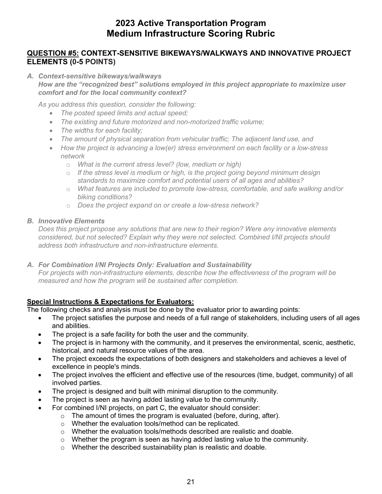### **QUESTION #5: CONTEXT-SENSITIVE BIKEWAYS/WALKWAYS AND INNOVATIVE PROJECT ELEMENTS (0-5 POINTS)**

*A. Context-sensitive bikeways/walkways* 

*How are the "recognized best" solutions employed in this project appropriate to maximize user comfort and for the local community context?* 

*As you address this question, consider the following:* 

- *The posted speed limits and actual speed;*
- *The existing and future motorized and non-motorized traffic volume;*
- *The widths for each facility;*
- *The amount of physical separation from vehicular traffic; The adjacent land use, and*
- How the project is advancing a low(er) stress environment on each facility or a low-stress *network* 
	- o *What is the current stress level? (low, medium or high)*
	- $\circ$  If the stress level is medium or high, is the project going beyond minimum design  *standards to maximize comfort and potential users of all ages and abilities?*
	- o *What features are included to promote low-stress, comfortable, and safe walking and/or biking conditions?*
	- o *Does the project expand on or create a low-stress network?*

#### *B. Innovative Elements*

*Does this project propose any solutions that are new to their region? Were any innovative elements considered, but not selected? Explain why they were not selected. Combined I/NI projects should address both infrastructure and non-infrastructure elements.* 

#### *A. For Combination I/NI Projects Only: Evaluation and Sustainability*

 *For projects with non-infrastructure elements, describe how the effectiveness of the program will be measured and how the program will be sustained after completion.* 

### **Special Instructions & Expectations for Evaluators:**

- The project satisfies the purpose and needs of a full range of stakeholders, including users of all ages and abilities.
- The project is a safe facility for both the user and the community.
- The project is in harmony with the community, and it preserves the environmental, scenic, aesthetic, historical, and natural resource values of the area.
- The project exceeds the expectations of both designers and stakeholders and achieves a level of excellence in people's minds.
- The project involves the efficient and effective use of the resources (time, budget, community) of all involved parties.
- The project is designed and built with minimal disruption to the community.
- The project is seen as having added lasting value to the community.
- For combined I/NI projects, on part C, the evaluator should consider:
	- $\circ$  The amount of times the program is evaluated (before, during, after).
	- o Whether the evaluation tools/method can be replicated.
	- o Whether the evaluation tools/methods described are realistic and doable.
	- o Whether the program is seen as having added lasting value to the community.
	- o Whether the described sustainability plan is realistic and doable.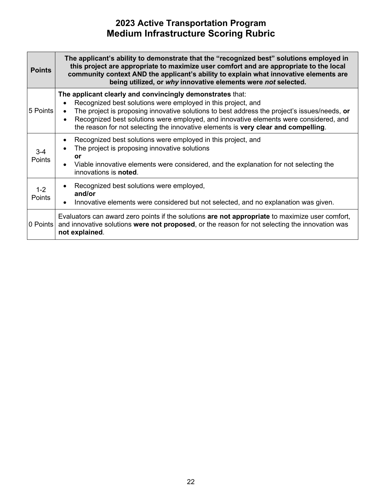| <b>Points</b>     | The applicant's ability to demonstrate that the "recognized best" solutions employed in<br>this project are appropriate to maximize user comfort and are appropriate to the local<br>community context AND the applicant's ability to explain what innovative elements are<br>being utilized, or why innovative elements were not selected.                                                                                                     |
|-------------------|-------------------------------------------------------------------------------------------------------------------------------------------------------------------------------------------------------------------------------------------------------------------------------------------------------------------------------------------------------------------------------------------------------------------------------------------------|
| 5 Points          | The applicant clearly and convincingly demonstrates that:<br>Recognized best solutions were employed in this project, and<br>$\bullet$<br>The project is proposing innovative solutions to best address the project's issues/needs, or<br>$\bullet$<br>Recognized best solutions were employed, and innovative elements were considered, and<br>$\bullet$<br>the reason for not selecting the innovative elements is very clear and compelling. |
| $3 - 4$<br>Points | Recognized best solutions were employed in this project, and<br>$\bullet$<br>The project is proposing innovative solutions<br>$\bullet$<br>or<br>Viable innovative elements were considered, and the explanation for not selecting the<br>$\bullet$<br>innovations is <b>noted</b> .                                                                                                                                                            |
| $1 - 2$<br>Points | Recognized best solutions were employed,<br>$\bullet$<br>and/or<br>Innovative elements were considered but not selected, and no explanation was given.<br>$\bullet$                                                                                                                                                                                                                                                                             |
| 0 Points          | Evaluators can award zero points if the solutions are not appropriate to maximize user comfort,<br>and innovative solutions were not proposed, or the reason for not selecting the innovation was<br>not explained.                                                                                                                                                                                                                             |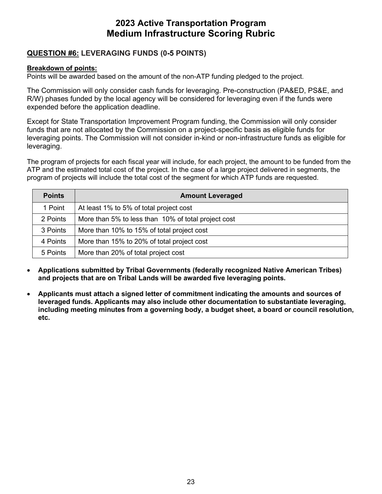### **QUESTION #6: LEVERAGING FUNDS (0-5 POINTS)**

### **Breakdown of points:**

Points will be awarded based on the amount of the non-ATP funding pledged to the project.

The Commission will only consider cash funds for leveraging. Pre-construction (PA&ED, PS&E, and R/W) phases funded by the local agency will be considered for leveraging even if the funds were expended before the application deadline.

Except for State Transportation Improvement Program funding, the Commission will only consider funds that are not allocated by the Commission on a project-specific basis as eligible funds for leveraging points. The Commission will not consider in-kind or non-infrastructure funds as eligible for leveraging.

 The program of projects for each fiscal year will include, for each project, the amount to be funded from the ATP and the estimated total cost of the project. In the case of a large project delivered in segments, the program of projects will include the total cost of the segment for which ATP funds are requested.

| <b>Points</b> | <b>Amount Leveraged</b>                             |
|---------------|-----------------------------------------------------|
| 1 Point       | At least 1% to 5% of total project cost             |
| 2 Points      | More than 5% to less than 10% of total project cost |
| 3 Points      | More than 10% to 15% of total project cost          |
| 4 Points      | More than 15% to 20% of total project cost          |
| 5 Points      | More than 20% of total project cost                 |

- **Applications submitted by Tribal Governments (federally recognized Native American Tribes) and projects that are on Tribal Lands will be awarded five leveraging points.**
- **Applicants must attach a signed letter of commitment indicating the amounts and sources of leveraged funds. Applicants may also include other documentation to substantiate leveraging, including meeting minutes from a governing body, a budget sheet, a board or council resolution, etc.**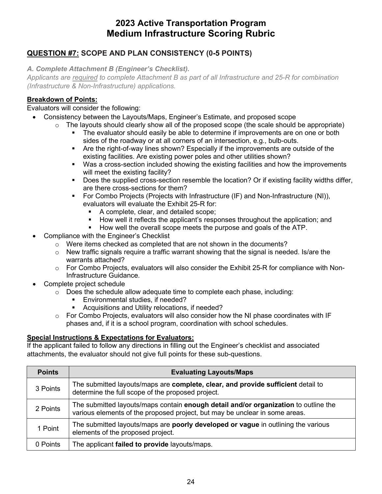### **QUESTION #7: SCOPE AND PLAN CONSISTENCY (0-5 POINTS)**

*A. Complete Attachment B (Engineer's Checklist).* 

*Applicants are required to complete Attachment B as part of all Infrastructure and 25-R for combination (Infrastructure & Non-Infrastructure) applications.* 

### **Breakdown of Points:**

### Evaluators will consider the following:

- Consistency between the Layouts/Maps, Engineer's Estimate, and proposed scope
	- $\circ$  The layouts should clearly show all of the proposed scope (the scale should be appropriate)
		- The evaluator should easily be able to determine if improvements are on one or both sides of the roadway or at all corners of an intersection, e.g., bulb-outs.
		- Are the right-of-way lines shown? Especially if the improvements are outside of the existing facilities. Are existing power poles and other utilities shown?
		- Was a cross-section included showing the existing facilities and how the improvements will meet the existing facility?
		- Does the supplied cross-section resemble the location? Or if existing facility widths differ, are there cross-sections for them?
		- For Combo Projects (Projects with Infrastructure (IF) and Non-Infrastructure (NI)), evaluators will evaluate the Exhibit 25-R for:
			- A complete, clear, and detailed scope;
			- How well it reflects the applicant's responses throughout the application; and
			- **How well the overall scope meets the purpose and goals of the ATP.**
- Compliance with the Engineer's Checklist
	- o Were items checked as completed that are not shown in the documents?
	- $\circ$  New traffic signals require a traffic warrant showing that the signal is needed. Is/are the warrants attached?
	- $\circ$  For Combo Projects, evaluators will also consider the Exhibit 25-R for compliance with Non-Infrastructure Guidance.
- Complete project schedule
	- $\circ$  Does the schedule allow adequate time to complete each phase, including:
		- **Environmental studies, if needed?**
		- Acquisitions and Utility relocations, if needed?
	- o For Combo Projects, evaluators will also consider how the NI phase coordinates with IF phases and, if it is a school program, coordination with school schedules.

### **Special Instructions & Expectations for Evaluators:**

If the applicant failed to follow any directions in filling out the Engineer's checklist and associated attachments, the evaluator should not give full points for these sub-questions.

| <b>Points</b> | <b>Evaluating Layouts/Maps</b>                                                                                                                                     |
|---------------|--------------------------------------------------------------------------------------------------------------------------------------------------------------------|
| 3 Points      | The submitted layouts/maps are complete, clear, and provide sufficient detail to<br>determine the full scope of the proposed project.                              |
| 2 Points      | The submitted layouts/maps contain enough detail and/or organization to outline the<br>various elements of the proposed project, but may be unclear in some areas. |
| 1 Point       | The submitted layouts/maps are poorly developed or vague in outlining the various<br>elements of the proposed project.                                             |
| 0 Points      | The applicant failed to provide layouts/maps.                                                                                                                      |